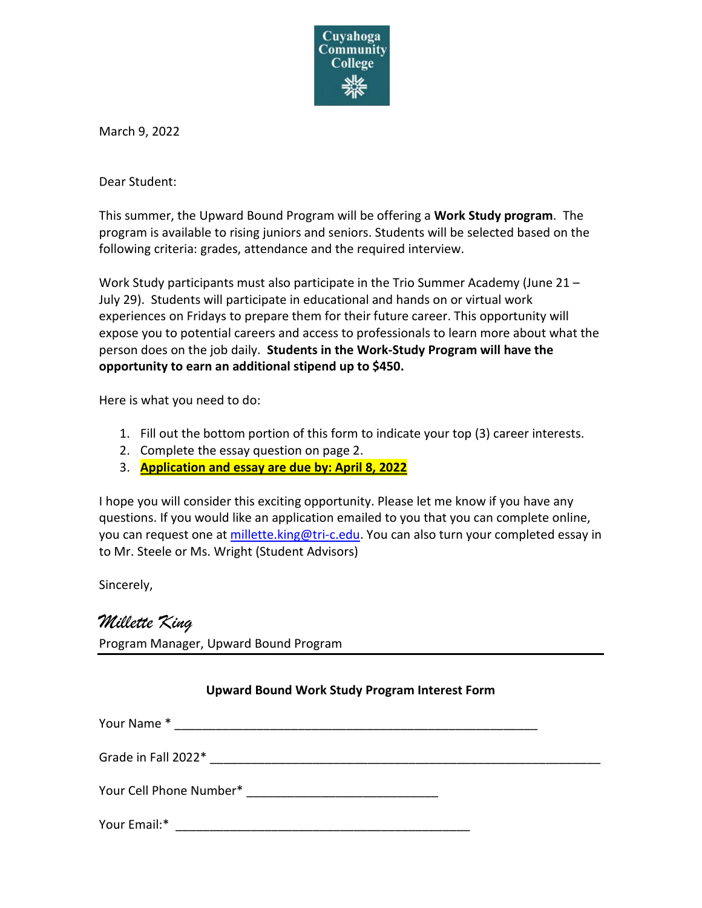

March 9, 2022

Dear Student:

This summer, the Upward Bound Program will be offering a **Work Study program**. The program is available to rising juniors and seniors. Students will be selected based on the following criteria: grades, attendance and the required interview.

Work Study participants must also participate in the Trio Summer Academy (June 21 – July 29). Students will participate in educational and hands on or virtual work experiences on Fridays to prepare them for their future career. This opportunity will expose you to potential careers and access to professionals to learn more about what the person does on the job daily. **Students in the Work-Study Program will have the opportunity to earn an additional stipend up to \$450.**

Here is what you need to do:

- 1. Fill out the bottom portion of this form to indicate your top (3) career interests.
- 2. Complete the essay question on page 2.
- 3. **Application and essay are due by: April 8, 2022**

I hope you will consider this exciting opportunity. Please let me know if you have any questions. If you would like an application emailed to you that you can complete online, you can request one at [millette.king@tri-c.edu.](mailto:millette.king@tri-c.edu) You can also turn your completed essay in to Mr. Steele or Ms. Wright (Student Advisors)

Sincerely,

## *Millette King*

Program Manager, Upward Bound Program

## **Upward Bound Work Study Program Interest Form**

| Your Name*              |  |
|-------------------------|--|
| Grade in Fall 2022*     |  |
| Your Cell Phone Number* |  |
| Your Email:*            |  |